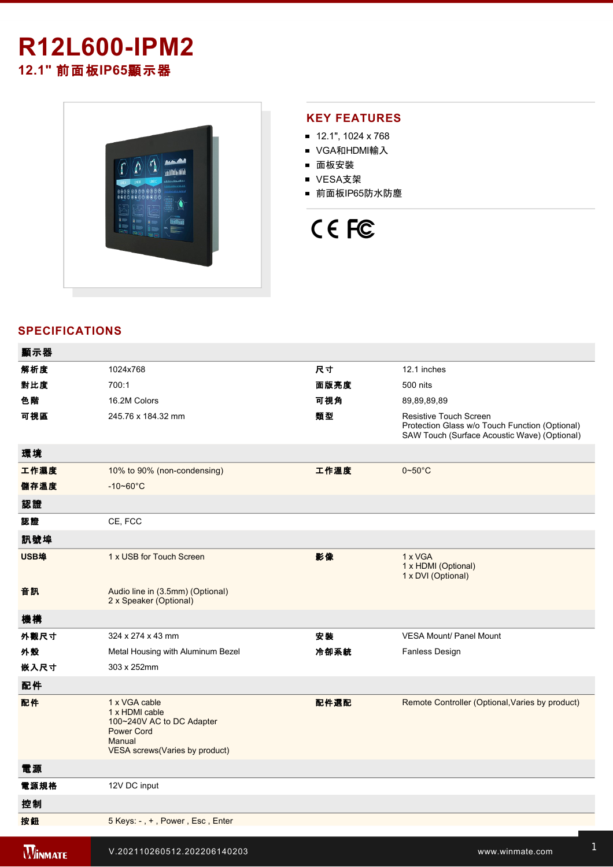# **R12L600-IPM2 12.1"** 前面板**IP65**顯示器



## **KEY FEATURES**

- 12.1", 1024 x 768
- VGA和HDMI輸入
- 面板安裝
- VESA支架
- 前面板IP65防水防塵

# CE FC

# **SPECIFICATIONS**

| 顯示器            |                                                                                                                                |      |                                                                                                                          |
|----------------|--------------------------------------------------------------------------------------------------------------------------------|------|--------------------------------------------------------------------------------------------------------------------------|
| 解析度            | 1024x768                                                                                                                       | 尺寸   | 12.1 inches                                                                                                              |
| 對比度            | 700:1                                                                                                                          | 面版亮度 | 500 nits                                                                                                                 |
| 色階             | 16.2M Colors                                                                                                                   | 可視角  | 89,89,89,89                                                                                                              |
| 可視區            | 245.76 x 184.32 mm                                                                                                             | 類型   | Resistive Touch Screen<br>Protection Glass w/o Touch Function (Optional)<br>SAW Touch (Surface Acoustic Wave) (Optional) |
| 環境             |                                                                                                                                |      |                                                                                                                          |
| 工作濕度           | 10% to 90% (non-condensing)                                                                                                    | 工作溫度 | $0 - 50^{\circ}$ C                                                                                                       |
| 儲存溫度           | $-10 - 60^{\circ}$ C                                                                                                           |      |                                                                                                                          |
| 認證             |                                                                                                                                |      |                                                                                                                          |
| 認證             | CE, FCC                                                                                                                        |      |                                                                                                                          |
| 訊號埠            |                                                                                                                                |      |                                                                                                                          |
| USB埠           | 1 x USB for Touch Screen                                                                                                       | 影像   | 1 x VGA<br>1 x HDMI (Optional)<br>1 x DVI (Optional)                                                                     |
| 音訊             | Audio line in (3.5mm) (Optional)<br>2 x Speaker (Optional)                                                                     |      |                                                                                                                          |
| 機構             |                                                                                                                                |      |                                                                                                                          |
| 外觀尺寸           | 324 x 274 x 43 mm                                                                                                              | 安装   | <b>VESA Mount/ Panel Mount</b>                                                                                           |
| 外殼             | Metal Housing with Aluminum Bezel                                                                                              | 冷卻系統 | Fanless Design                                                                                                           |
| 嵌入尺寸           | 303 x 252mm                                                                                                                    |      |                                                                                                                          |
| 配件             |                                                                                                                                |      |                                                                                                                          |
| 配件             | 1 x VGA cable<br>1 x HDMI cable<br>100~240V AC to DC Adapter<br><b>Power Cord</b><br>Manual<br>VESA screws (Varies by product) | 配件選配 | Remote Controller (Optional, Varies by product)                                                                          |
| 電源             |                                                                                                                                |      |                                                                                                                          |
| 電源規格           | 12V DC input                                                                                                                   |      |                                                                                                                          |
| 控制             |                                                                                                                                |      |                                                                                                                          |
| 按鈕             | 5 Keys: -, +, Power, Esc, Enter                                                                                                |      |                                                                                                                          |
| <b>WINMATE</b> | V.202110260512.202206140203                                                                                                    |      | www.winmate.com                                                                                                          |